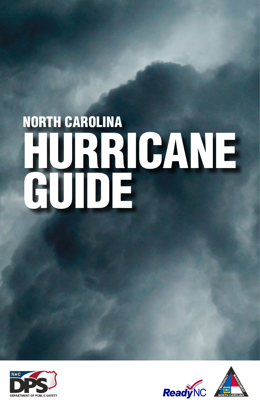# NORTH CAROLINA HURRICANE GUIDE





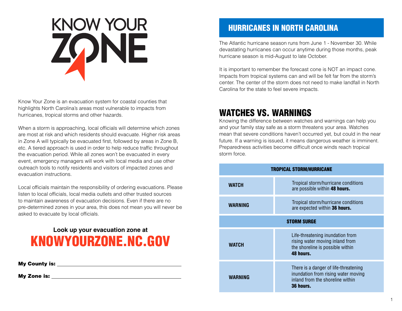# KNOW YOUR<br>ZONE

Know Your Zone is an evacuation system for coastal counties that highlights North Carolina's areas most vulnerable to impacts from hurricanes, tropical storms and other hazards.

When a storm is approaching, local officials will determine which zones are most at risk and which residents should evacuate. Higher risk areas in Zone A will typically be evacuated first, followed by areas in Zone B, etc. A tiered approach is used in order to help reduce traffic throughout the evacuation period. While all zones won't be evacuated in every event, emergency managers will work with local media and use other outreach tools to notify residents and visitors of impacted zones and evacuation instructions.

Local officials maintain the responsibility of ordering evacuations. Please listen to local officials, local media outlets and other trusted sources to maintain awareness of evacuation decisions. Even if there are no pre-determined zones in your area, this does not mean you will never be asked to evacuate by local officials.

# KNOWYOURZONE.NC.GOV **Look up your evacuation zone at**

My County is:

My Zone is:

# HURRICANES IN NORTH CAROLINA

The Atlantic hurricane season runs from June 1 - November 30. While devastating hurricanes can occur anytime during those months, peak hurricane season is mid-August to late October.

It is important to remember the forecast cone is NOT an impact cone. Impacts from tropical systems can and will be felt far from the storm's center. The center of the storm does not need to make landfall in North Carolina for the state to feel severe impacts.

# WATCHES VS. WARNINGS

Knowing the difference between watches and warnings can help you and your family stay safe as a storm threatens your area. Watches mean that severe conditions haven't occurred yet, but could in the near future. If a warning is issued, it means dangerous weather is imminent. Preparedness activities become difficult once winds reach tropical storm force.

| <b>TROPICAL STORM/HURRICANE</b> |                                                                                                                               |
|---------------------------------|-------------------------------------------------------------------------------------------------------------------------------|
| <b>WATCH</b>                    | Tropical storm/hurricane conditions<br>are possible within 48 hours.                                                          |
| WARNING                         | Tropical storm/hurricane conditions<br>are expected within 36 hours.                                                          |
| <b>STORM SURGE</b>              |                                                                                                                               |
| <b>WATCH</b>                    | Life-threatening inundation from<br>rising water moving inland from<br>the shoreline is possible within<br>48 hours.          |
| WARNING                         | There is a danger of life-threatening<br>inundation from rising water moving<br>inland from the shoreline within<br>36 hours. |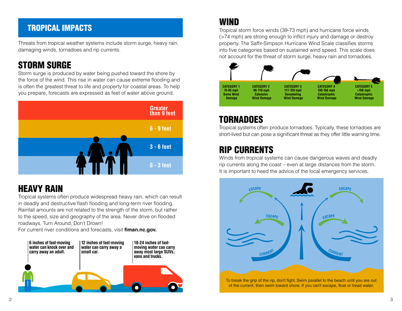# TROPICAL IMPACTS

Threats from tropical weather systems include storm surge, heavy rain, damaging winds, tornadoes and rip currents.

# STORM SURGE

Storm surge is produced by water being pushed toward the shore by the force of the wind. This rise in water can cause extreme flooding and is often the greatest threat to life and property for coastal areas. To help you prepare, forecasts are expressed as feet of water above ground.



# HEAVY RAIN

Tropical systems often produce widespread heavy rain, which can result in deadly and destructive flash flooding and long-term river flooding. Rainfall amounts are not related to the strength of the storm, but rather to the speed, size and geography of the area. Never drive on flooded roadways. Turn Around, Don't Drown!

For current river conditions and forecasts, visit **fiman.nc.gov.**



# WIND

Tropical storm force winds (39-73 mph) and hurricane force winds (>74 mph) are strong enough to inflict injury and damage or destroy property. The Saffir-Simpson Hurricane Wind Scale classifies storms into five categories based on sustained wind speed. This scale does not account for the threat of storm surge, heavy rain and tornadoes.



# TORNADOES

Tropical systems often produce tornadoes. Typically, these tornadoes are short-lived but can pose a significant threat as they offer little warning time.

# RIP CURRENTS

Winds from tropical systems can cause dangerous waves and deadly rip currents along the coast – even at large distances from the storm. It is important to heed the advice of the local emergency services.



of the current, then swim toward shore. If you can't escape, float or tread water.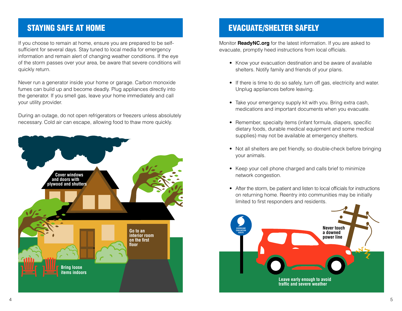# STAYING SAFE AT HOME

If you choose to remain at home, ensure you are prepared to be selfsufficient for several days. Stay tuned to local media for emergency information and remain alert of changing weather conditions. If the eye of the storm passes over your area, be aware that severe conditions will quickly return.

Never run a generator inside your home or garage. Carbon monoxide fumes can build up and become deadly. Plug appliances directly into the generator. If you smell gas, leave your home immediately and call your utility provider.

During an outage, do not open refrigerators or freezers unless absolutely necessary. Cold air can escape, allowing food to thaw more quickly.



# EVACUATE/SHELTER SAFELY

Monitor **ReadyNC.org** for the latest information. If you are asked to evacuate, promptly heed instructions from local officials.

- Know your evacuation destination and be aware of available shelters. Notify family and friends of your plans.
- If there is time to do so safely, turn off gas, electricity and water. Unplug appliances before leaving.
- Take your emergency supply kit with you. Bring extra cash, medications and important documents when you evacuate.
- Remember, specialty items (infant formula, diapers, specific dietary foods, durable medical equipment and some medical supplies) may not be available at emergency shelters.
- Not all shelters are pet friendly, so double-check before bringing your animals.
- Keep your cell phone charged and calls brief to minimize network congestion.
- After the storm, be patient and listen to local officials for instructions on returning home. Reentry into communities may be initially limited to first responders and residents.

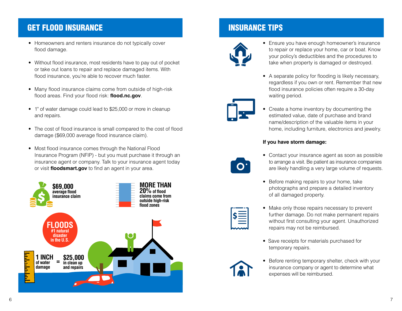# GET FLOOD INSURANCE

- Homeowners and renters insurance do not typically cover flood damage.
- Without flood insurance, most residents have to pay out of pocket or take out loans to repair and replace damaged items. With flood insurance, you're able to recover much faster.
- Many flood insurance claims come from outside of high-risk flood areas. Find your flood risk: **flood.nc.gov**.
- 1" of water damage could lead to \$25,000 or more in cleanup and repairs.
- The cost of flood insurance is small compared to the cost of flood damage (\$69,000 average flood insurance claim).
- Most flood insurance comes through the National Flood Insurance Program (NFIP) - but you must purchase it through an insurance agent or company. Talk to your insurance agent today or visit **floodsmart.gov** to find an agent in your area.



# INSURANCE TIPS



• A separate policy for flooding is likely necessary, regardless if you own or rent. Remember that new flood insurance policies often require a 30-day waiting period.



• Create a home inventory by documenting the estimated value, date of purchase and brand name/description of the valuable items in your home, including furniture, electronics and jewelry.

• Ensure you have enough homeowner's insurance to repair or replace your home, car or boat. Know your policy's deductibles and the procedures to take when property is damaged or destroyed.

### **If you have storm damage:**



- Contact your insurance agent as soon as possible to arrange a visit. Be patient as insurance companies are likely handling a very large volume of requests.
- Before making repairs to your home, take photographs and prepare a detailed inventory of all damaged property.
- Make only those repairs necessary to prevent further damage. Do not make permanent repairs without first consulting your agent. Unauthorized repairs may not be reimbursed.
- Save receipts for materials purchased for temporary repairs.
- Before renting temporary shelter, check with your insurance company or agent to determine what expenses will be reimbursed.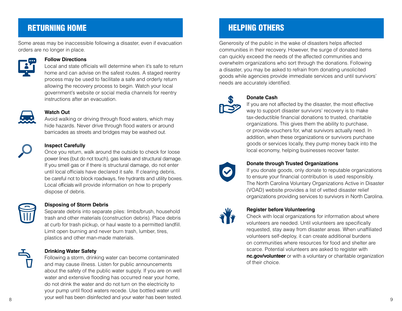# RETURNING HOME

Some areas may be inaccessible following a disaster, even if evacuation orders are no longer in place.



### **Follow Directions**

Local and state officials will determine when it's safe to return home and can advise on the safest routes. A staged reentry process may be used to facilitate a safe and orderly return allowing the recovery process to begin. Watch your local government's website or social media channels for reentry instructions after an evacuation.



### **Watch Out**

Avoid walking or driving through flood waters, which may hide hazards. Never drive through flood waters or around barricades as streets and bridges may be washed out.



### **Inspect Carefully**

Once you return, walk around the outside to check for loose power lines (but do not touch), gas leaks and structural damage. If you smell gas or if there is structural damage, do not enter until local officials have declared it safe. If clearing debris, be careful not to block roadways, fire hydrants and utility boxes. Local officials will provide information on how to properly dispose of debris.

### **Disposing of Storm Debris**

Separate debris into separate piles: limbs/brush, household trash and other materials (construction debris). Place debris at curb for trash pickup, or haul waste to a permitted landfill. Limit open burning and never burn trash, lumber, tires, plastics and other man-made materials.

### **Drinking Water Safety**

8 9 your well has been disinfected and your water has been tested.Following a storm, drinking water can become contaminated and may cause illness. Listen for public announcements about the safety of the public water supply. If you are on well water and extensive flooding has occurred near your home, do not drink the water and do not turn on the electricity to your pump until flood waters recede. Use bottled water until

# HELPING OTHERS

Generosity of the public in the wake of disasters helps affected communities in their recovery. However, the surge of donated items can quickly exceed the needs of the affected communities and overwhelm organizations who sort through the donations. Following a disaster, you may be asked to refrain from donating unsolicited goods while agencies provide immediate services and until survivors' needs are accurately identified.



### **Donate Cash**

If you are not affected by the disaster, the most effective way to support disaster survivors' recovery is to make tax-deductible financial donations to trusted, charitable organizations. This gives them the ability to purchase, or provide vouchers for, what survivors actually need. In addition, when these organizations or survivors purchase goods or services locally, they pump money back into the local economy, helping businesses recover faster.



### **Donate through Trusted Organizations**

If you donate goods, only donate to reputable organizations to ensure your financial contribution is used responsibly. The North Carolina Voluntary Organizations Active in Disaster (VOAD) website provides a list of vetted disaster relief organizations providing services to survivors in North Carolina.



### **Register before Volunteering**

Check with local organizations for information about where volunteers are needed. Until volunteers are specifically requested, stay away from disaster areas. When unaffiliated volunteers self-deploy, it can create additional burdens on communities where resources for food and shelter are scarce. Potential volunteers are asked to register with **nc.gov/volunteer** or with a voluntary or charitable organization of their choice.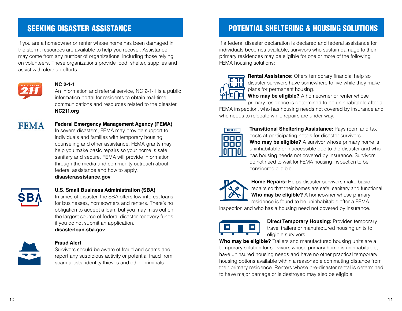# SEEKING DISASTER ASSISTANCE

If you are a homeowner or renter whose home has been damaged in the storm, resources are available to help you recover. Assistance may come from any number of organizations, including those relying on volunteers. These organizations provide food, shelter, supplies and assist with cleanup efforts.



### **NC 2-1-1**

An information and referral service, NC 2-1-1 is a public information portal for residents to obtain real-time communications and resources related to the disaster. **NC211.org**



### **Federal Emergency Management Agency (FEMA)**

In severe disasters, FEMA may provide support to individuals and families with temporary housing, counseling and other assistance. FEMA grants may help you make basic repairs so your home is safe, sanitary and secure. FEMA will provide information through the media and community outreach about federal assistance and how to apply. **disasterassistance.gov**



### **U.S. Small Business Administration (SBA)**

In times of disaster, the SBA offers low-interest loans for businesses, homeowners and renters. There's no obligation to accept a loan, but you may miss out on the largest source of federal disaster recovery funds if you do not submit an application.

**disasterloan.sba.gov**



### **Fraud Alert**

Survivors should be aware of fraud and scams and report any suspicious activity or potential fraud from scam artists, identity thieves and other criminals.

# POTENTIAL SHELTERING & HOUSING SOLUTIONS

If a federal disaster declaration is declared and federal assistance for individuals becomes available, survivors who sustain damage to their primary residences may be eligible for one or more of the following FEMA housing solutions:



**Rental Assistance:** Offers temporary financial help so disaster survivors have somewhere to live while they make plans for permanent housing.

**Who may be eligible?** A homeowner or renter whose primary residence is determined to be uninhabitable after a

FEMA inspection, who has housing needs not covered by insurance and who needs to relocate while repairs are under way.



**Transitional Sheltering Assistance: Pays room and tax** costs at participating hotels for disaster survivors. **Who may be eligible?** A survivor whose primary home is uninhabitable or inaccessible due to the disaster and who has housing needs not covered by insurance. Survivors do not need to wait for FEMA housing inspection to be considered eligible.



**Home Repairs:** Helps disaster survivors make basic repairs so that their homes are safe, sanitary and functional. **Who may be eligible?** A homeowner whose primary residence is found to be uninhabitable after a FEMA

inspection and who has a housing need not covered by insurance.



**Direct Temporary Housing: Provides temporary** travel trailers or manufactured housing units to eligible survivors.

**Who may be eligible?** Trailers and manufactured housing units are a temporary solution for survivors whose primary home is uninhabitable, have uninsured housing needs and have no other practical temporary housing options available within a reasonable commuting distance from their primary residence. Renters whose pre-disaster rental is determined to have major damage or is destroyed may also be eligible.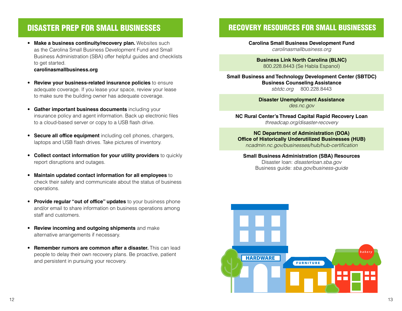## DISASTER PREP FOR SMALL BUSINESSES

• **Make a business continuity/recovery plan.** Websites such as the Carolina Small Business Development Fund and Small Business Administration (SBA) offer helpful guides and checklists to get started.

### **carolinasmallbusiness.org**

- **Review your business-related insurance policies** to ensure adequate coverage. If you lease your space, review your lease to make sure the building owner has adequate coverage.
- **Gather important business documents** including your insurance policy and agent information. Back up electronic files to a cloud-based server or copy to a USB flash drive.
- **Secure all office equipment** including cell phones, chargers, laptops and USB flash drives. Take pictures of inventory.
- **Collect contact information for your utility providers** to quickly report disruptions and outages.
- **Maintain updated contact information for all employees** to check their safety and communicate about the status of business operations.
- **Provide regular "out of office" updates** to your business phone and/or email to share information on business operations among staff and customers.
- **Review incoming and outgoing shipments** and make alternative arrangements if necessary.
- **Remember rumors are common after a disaster.** This can lead people to delay their own recovery plans. Be proactive, patient and persistent in pursuing your recovery.

### RECOVERY RESOURCES FOR SMALL BUSINESSES

**Carolina Small Business Development Fund** *carolinasmallbusiness.org*

**Business Link North Carolina (BLNC)** 800.228.8443 (Se Habla Espanol)

**Small Business and Technology Development Center (SBTDC) Business Counseling Assistance** *sbtdc.org* 800.228.8443

> **Disaster Unemployment Assistance** *des.nc.gov*

**NC Rural Center's Thread Capital Rapid Recovery Loan** *threadcap.org/disaster-recovery*

**NC Department of Administration (DOA) Office of Historically Underutilized Businesses (HUB)** *ncadmin.nc.gov/businesses/hub/hub-certification*

### **Small Business Administration (SBA) Resources** Disaster loan: *disasterloan.sba.gov*  Business guide: *sba.gov/business-guide*

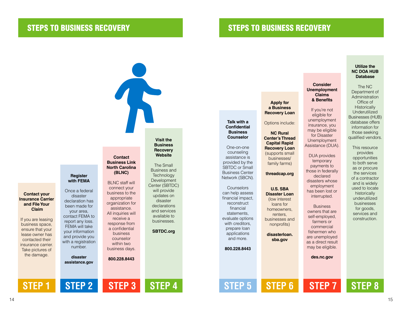### STEPS TO BUSINESS RECOVERY STEPS TO BUSINESS RECOVERY

**Talk with a Confidential Business Counselor** One-on-one counseling assistance is provided by the SBTDC or Small Business Center Network (SBCN). **Counselors** can help assess financial impact, reconstruct financial statements, evaluate options with creditors, prepare loan applications and more. **800.228.8443 STEP 5 Apply for a Business Recovery Loan** Options include: **NC Rural Center's Thread Capital Rapid Recovery Loan** (supports small businesses/ family farms) **threadcap.org U.S. SBA Disaster Loan** (low interest loans for homeowners, renters, businesses and nonprofits) **disasterloan. sba.gov STEP 6 Consider Unemployment Claims & Benefits** If you're not eligible for unemployment insurance, you may be eligible for Disaster Unemployment Assistance (DUA). DUA provides temporary payments to those in federally declared disasters whose employment has been lost or interrupted. **Business** owners that are self-employed, farmers or commercial fishermen who are unemployed as a direct result may be eligible. **des.nc.gov STEP 7 Utilize the**  The NC Office of qualified vendors. This resource provides

### **NC DOA HUB Database**

Department of Administration **Historically** Underutilized Businesses (HUB) database offers information for those seeking

> opportunities to both serve as or procure the services of a contractor and is widely used to locate historically underutilized businesses for goods, services and construction.

14 and the contract of the contract of the contract of the contract of the contract of the contract of the contract of the contract of the contract of the contract of the contract of the contract of the contract of the con

**Contact your Insurance Carrier and File Your**

ensure that your lease owner has contacted their insurance carrier. Take pictures of the damage.

**STEP 1**

### **Register with FEMA**

Once a federal disaster declaration has been made for your area, contact FEMA to report any loss. FEMA will take your information and provide you with a registration number.

**disaster assistance.gov**

**STEP 2**

**Contact Business Link North Carolina (BLNC)**

BLNC staff will connect your business to the appropriate organization for assistance. All inquiries will receive a response from a confidential business counselor within two

business days.

**STEP 3**

**800.228.8443**

**Visit the Business Recovery Website**

The Small Business and **Technology** Development Center (SBTDC) will provide updates on disaster declarations and services available to businesses.

**SBTDC.org**

**STEP 4**

# **STEP 8**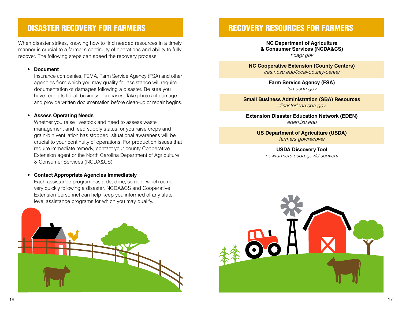# DISASTER RECOVERY FOR FARMERS

When disaster strikes, knowing how to find needed resources in a timely manner is crucial to a farmer's continuity of operations and ability to fully recover. The following steps can speed the recovery process:

• **Document**

Insurance companies, FEMA, Farm Service Agency (FSA) and other agencies from which you may qualify for assistance will require documentation of damages following a disaster. Be sure you have receipts for all business purchases. Take photos of damage and provide written documentation before clean-up or repair begins.

### • **Assess Operating Needs**

Whether you raise livestock and need to assess waste management and feed supply status, or you raise crops and grain-bin ventilation has stopped, situational awareness will be crucial to your continuity of operations. For production issues that require immediate remedy, contact your county Cooperative Extension agent or the North Carolina Department of Agriculture & Consumer Services (NCDA&CS).

### • **Contact Appropriate Agencies Immediately**

Each assistance program has a deadline, some of which come very quickly following a disaster. NCDA&CS and Cooperative Extension personnel can help keep you informed of any state level assistance programs for which you may qualify.



## RECOVERY RESOURCES FOR FARMERS

**NC Department of Agriculture & Consumer Services (NCDA&CS)** *ncagr.gov*

**NC Cooperative Extension (County Centers)** *ces.ncsu.edu/local-county-center*

> **Farm Service Agency (FSA)** *fsa.usda.gov*

**Small Business Administration (SBA) Resources** *disasterloan.sba.gov*

**Extension Disaster Education Network (EDEN)** *eden.lsu.edu*

**US Department of Agriculture (USDA)** *farmers.gov/recover*

**USDA Discovery Tool** *newfarmers.usda.gov/discovery*

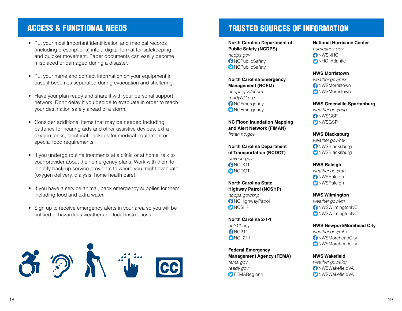- Put your most important identification and medical records (including prescriptions) into a digital format for safekeeping and quicker movement. Paper documents can easily become misplaced or damaged during a disaster.
- Put your name and contact information on your equipment in case it becomes separated during evacuation and sheltering.
- Have your plan ready and share it with your personal support network. Don't delay if you decide to evacuate in order to reach your destination safely ahead of a storm.
- Consider additional items that may be needed including batteries for hearing aids and other assistive devices, extra oxygen tanks, electrical backups for medical equipment or special food requirements.
- If you undergo routine treatments at a clinic or at home, talk to your provider about their emergency plans. Work with them to identify back-up service providers to where you might evacuate (oxygen delivery, dialysis, home health care).
- If you have a service animal, pack emergency supplies for them, including food and extra water.
- Sign up to receive emergency alerts in your area so you will be notified of hazardous weather and local instructions.



# ACCESS & FUNCTIONAL NEEDS TRUSTED SOURCES OF INFORMATION

**North Carolina Department of Public Safety (NCDPS)** *ncdps.gov* **O**NCPublicSafety **D**NCPublicSafety

**North Carolina Emergency Management (NCEM)** *ncdps.gov/ncem readyNC.org* **O**NCEmergency **O**NCEmergency

**NC Flood Inundation Mapping and Alert Network (FIMAN)** *fiman.nc.gov*

**North Carolina Department of Transportation (NCDOT)** *drivenc.gov* **ANCDOT ONCDOT** 

**North Carolina State Highway Patrol (NCSHP)** *ncdps.gov/shp*  NCHighwayPatrol **ONCSHP** 

**North Carolina 2-1-1** *nc211.org* **C**NC211 **D**NC\_211

**Federal Emergency Management Agency (FEMA)** *fema.gov ready.gov* **O**FEMARegion4

**National Hurricane Center** *hurricanes.gov* **O**NWSNHC **ONHC\_Atlantic** 

### **NWS Morristown**

*weather.gov/mrx* NWSMorristown **O** NWSMorristown

**NWS Greenville-Spartanburg** *weather.gov/gsp* **O**NWSGSP **O**NWSGSP

**NWS Blacksburg** *weather.gov/rnk* **C**NWSBlacksburg **O**NWSBlacksburg

**NWS Raleigh** *weather.gov/rah* **A**NWSRaleigh **O**NWSRaleigh

**NWS Wilmington** *weather.gov/ilm* NWSWilmingtonNC NWSWilmingtonNC

**NWS Newport/Morehead City** *weather.gov/mhx* **O**NWSMoreheadCity

**O** NWSMoreheadCity

**NWS Wakefield**

*weather.gov/akq* NWSWakefieldVA **O**NWSWakefieldVA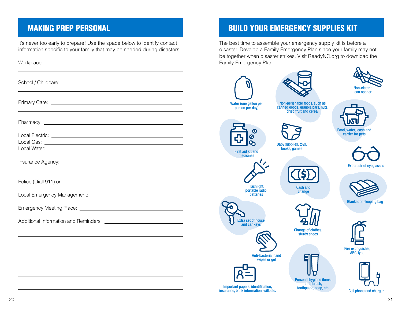It's never too early to prepare! Use the space below to identify contact information specific to your family that may be needed during disasters.

 $\overline{a}$ 

# MAKING PREP PERSONAL BUILD YOUR EMERGENCY SUPPLIES KIT

The best time to assemble your emergency supply kit is before a disaster. Develop a Family Emergency Plan since your family may not be together when disaster strikes. Visit ReadyNC.org to download the Family Emergency Plan.







Blanket or sleeping bag